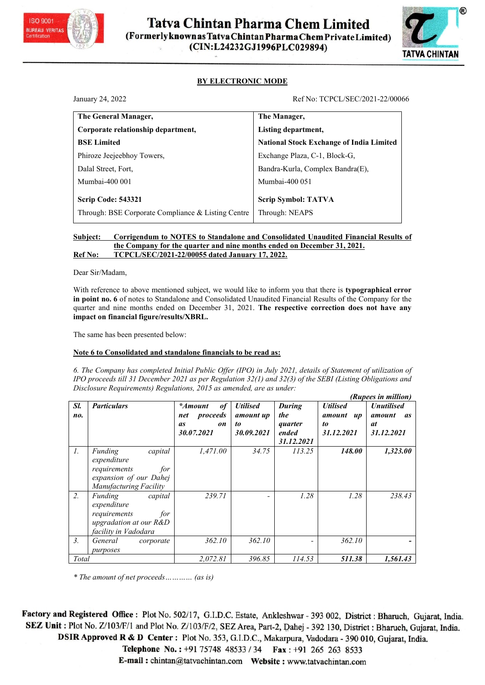



| TATVA CHINTAN<br><b>BY ELECTRONIC MODE</b><br>January 24, 2022<br>Ref No: TCPCL/SEC/2021-22/00066<br>The General Manager,<br>The Manager,<br>Corporate relationship department,<br>Listing department,<br><b>BSE Limited</b><br><b>National Stock Exchange of India Limited</b><br>Phiroze Jeejeebhoy Towers,<br>Exchange Plaza, C-1, Block-G,<br>Dalal Street, Fort,<br>Bandra-Kurla, Complex Bandra(E),<br>Mumbai-400 001<br>Mumbai-400 051<br><b>Scrip Code: 543321</b><br><b>Scrip Symbol: TATVA</b><br>Through: BSE Corporate Compliance & Listing Centre<br>Through: NEAPS<br><b>Corrigendum to NOTES to Standalone and Consolidated Unaudited Financial Results of</b><br>Subject:<br>the Company for the quarter and nine months ended on December 31, 2021.<br>TCPCL/SEC/2021-22/00055 dated January 17, 2022.<br>Ref No:<br>Dear Sir/Madam,<br>With reference to above mentioned subject, we would like to inform you that there is typographical error<br>in point no. 6 of notes to Standalone and Consolidated Unaudited Financial Results of the Company for the<br>quarter and nine months ended on December 31, 2021. The respective correction does not have any<br>impact on financial figure/results/XBRL.<br>The same has been presented below:<br>Note 6 to Consolidated and standalone financials to be read as:<br>6. The Company has completed Initial Public Offer (IPO) in July 2021, details of Statement of utilization of<br>IPO proceeds till 31 December 2021 as per Regulation 32(1) and 32(3) of the SEBI (Listing Obligations and<br>Disclosure Requirements) Regulations, 2015 as amended, are as under:<br>(Rupees in million) |     | Tatva Chintan Pharma Chem Limited<br>(Formerlyknown as Tatva Chintan Pharma Chem Private Limited) | (CIN:L24232GJ1996PLC029894) |                 |                   |  |
|--------------------------------------------------------------------------------------------------------------------------------------------------------------------------------------------------------------------------------------------------------------------------------------------------------------------------------------------------------------------------------------------------------------------------------------------------------------------------------------------------------------------------------------------------------------------------------------------------------------------------------------------------------------------------------------------------------------------------------------------------------------------------------------------------------------------------------------------------------------------------------------------------------------------------------------------------------------------------------------------------------------------------------------------------------------------------------------------------------------------------------------------------------------------------------------------------------------------------------------------------------------------------------------------------------------------------------------------------------------------------------------------------------------------------------------------------------------------------------------------------------------------------------------------------------------------------------------------------------------------------------------------------------------------|-----|---------------------------------------------------------------------------------------------------|-----------------------------|-----------------|-------------------|--|
|                                                                                                                                                                                                                                                                                                                                                                                                                                                                                                                                                                                                                                                                                                                                                                                                                                                                                                                                                                                                                                                                                                                                                                                                                                                                                                                                                                                                                                                                                                                                                                                                                                                                    |     |                                                                                                   |                             |                 |                   |  |
|                                                                                                                                                                                                                                                                                                                                                                                                                                                                                                                                                                                                                                                                                                                                                                                                                                                                                                                                                                                                                                                                                                                                                                                                                                                                                                                                                                                                                                                                                                                                                                                                                                                                    |     |                                                                                                   |                             |                 |                   |  |
|                                                                                                                                                                                                                                                                                                                                                                                                                                                                                                                                                                                                                                                                                                                                                                                                                                                                                                                                                                                                                                                                                                                                                                                                                                                                                                                                                                                                                                                                                                                                                                                                                                                                    |     |                                                                                                   |                             |                 |                   |  |
|                                                                                                                                                                                                                                                                                                                                                                                                                                                                                                                                                                                                                                                                                                                                                                                                                                                                                                                                                                                                                                                                                                                                                                                                                                                                                                                                                                                                                                                                                                                                                                                                                                                                    |     |                                                                                                   |                             |                 |                   |  |
|                                                                                                                                                                                                                                                                                                                                                                                                                                                                                                                                                                                                                                                                                                                                                                                                                                                                                                                                                                                                                                                                                                                                                                                                                                                                                                                                                                                                                                                                                                                                                                                                                                                                    |     |                                                                                                   |                             |                 |                   |  |
|                                                                                                                                                                                                                                                                                                                                                                                                                                                                                                                                                                                                                                                                                                                                                                                                                                                                                                                                                                                                                                                                                                                                                                                                                                                                                                                                                                                                                                                                                                                                                                                                                                                                    |     |                                                                                                   |                             |                 |                   |  |
|                                                                                                                                                                                                                                                                                                                                                                                                                                                                                                                                                                                                                                                                                                                                                                                                                                                                                                                                                                                                                                                                                                                                                                                                                                                                                                                                                                                                                                                                                                                                                                                                                                                                    |     |                                                                                                   |                             |                 |                   |  |
|                                                                                                                                                                                                                                                                                                                                                                                                                                                                                                                                                                                                                                                                                                                                                                                                                                                                                                                                                                                                                                                                                                                                                                                                                                                                                                                                                                                                                                                                                                                                                                                                                                                                    |     |                                                                                                   |                             |                 |                   |  |
|                                                                                                                                                                                                                                                                                                                                                                                                                                                                                                                                                                                                                                                                                                                                                                                                                                                                                                                                                                                                                                                                                                                                                                                                                                                                                                                                                                                                                                                                                                                                                                                                                                                                    |     |                                                                                                   |                             |                 |                   |  |
|                                                                                                                                                                                                                                                                                                                                                                                                                                                                                                                                                                                                                                                                                                                                                                                                                                                                                                                                                                                                                                                                                                                                                                                                                                                                                                                                                                                                                                                                                                                                                                                                                                                                    |     |                                                                                                   |                             |                 |                   |  |
|                                                                                                                                                                                                                                                                                                                                                                                                                                                                                                                                                                                                                                                                                                                                                                                                                                                                                                                                                                                                                                                                                                                                                                                                                                                                                                                                                                                                                                                                                                                                                                                                                                                                    |     |                                                                                                   |                             |                 |                   |  |
|                                                                                                                                                                                                                                                                                                                                                                                                                                                                                                                                                                                                                                                                                                                                                                                                                                                                                                                                                                                                                                                                                                                                                                                                                                                                                                                                                                                                                                                                                                                                                                                                                                                                    |     |                                                                                                   |                             |                 |                   |  |
|                                                                                                                                                                                                                                                                                                                                                                                                                                                                                                                                                                                                                                                                                                                                                                                                                                                                                                                                                                                                                                                                                                                                                                                                                                                                                                                                                                                                                                                                                                                                                                                                                                                                    |     |                                                                                                   |                             |                 |                   |  |
|                                                                                                                                                                                                                                                                                                                                                                                                                                                                                                                                                                                                                                                                                                                                                                                                                                                                                                                                                                                                                                                                                                                                                                                                                                                                                                                                                                                                                                                                                                                                                                                                                                                                    |     |                                                                                                   |                             |                 |                   |  |
|                                                                                                                                                                                                                                                                                                                                                                                                                                                                                                                                                                                                                                                                                                                                                                                                                                                                                                                                                                                                                                                                                                                                                                                                                                                                                                                                                                                                                                                                                                                                                                                                                                                                    |     |                                                                                                   |                             |                 |                   |  |
|                                                                                                                                                                                                                                                                                                                                                                                                                                                                                                                                                                                                                                                                                                                                                                                                                                                                                                                                                                                                                                                                                                                                                                                                                                                                                                                                                                                                                                                                                                                                                                                                                                                                    |     |                                                                                                   |                             |                 |                   |  |
|                                                                                                                                                                                                                                                                                                                                                                                                                                                                                                                                                                                                                                                                                                                                                                                                                                                                                                                                                                                                                                                                                                                                                                                                                                                                                                                                                                                                                                                                                                                                                                                                                                                                    | Sl. | <b>Particulars</b><br><b>Utilised</b><br>*Amount<br>of                                            | <b>During</b>               | <b>Utilised</b> | <b>Unutilised</b> |  |
| the<br>proceeds<br>amount up<br>amount up<br>amount as<br>net<br>no.<br>at<br>quarter<br>to<br>as<br>on<br>to<br>30.00.2021<br>31 12 2021<br>30.07.2021<br>ondod<br>31 12 2021                                                                                                                                                                                                                                                                                                                                                                                                                                                                                                                                                                                                                                                                                                                                                                                                                                                                                                                                                                                                                                                                                                                                                                                                                                                                                                                                                                                                                                                                                     |     |                                                                                                   |                             |                 |                   |  |

|                 | Mumbai-400 001                                                                                                                                                                                                                                                                                                                                                       |                                                            |                                                  | Mumbai-400 051                                         |                                                  |                                                    |
|-----------------|----------------------------------------------------------------------------------------------------------------------------------------------------------------------------------------------------------------------------------------------------------------------------------------------------------------------------------------------------------------------|------------------------------------------------------------|--------------------------------------------------|--------------------------------------------------------|--------------------------------------------------|----------------------------------------------------|
|                 | <b>Scrip Code: 543321</b>                                                                                                                                                                                                                                                                                                                                            |                                                            |                                                  | <b>Scrip Symbol: TATVA</b>                             |                                                  |                                                    |
|                 | Through: BSE Corporate Compliance & Listing Centre                                                                                                                                                                                                                                                                                                                   |                                                            |                                                  | Through: NEAPS                                         |                                                  |                                                    |
|                 | <b>Corrigendum to NOTES to Standalone and Consolidated Unaudited Financial Results of</b><br>Subject:<br>the Company for the quarter and nine months ended on December 31, 2021.<br>Ref No:                                                                                                                                                                          | TCPCL/SEC/2021-22/00055 dated January 17, 2022.            |                                                  |                                                        |                                                  |                                                    |
|                 | Dear Sir/Madam,                                                                                                                                                                                                                                                                                                                                                      |                                                            |                                                  |                                                        |                                                  |                                                    |
|                 | With reference to above mentioned subject, we would like to inform you that there is typographical error<br>in point no. 6 of notes to Standalone and Consolidated Unaudited Financial Results of the Company for the<br>quarter and nine months ended on December 31, 2021. The respective correction does not have any<br>impact on financial figure/results/XBRL. |                                                            |                                                  |                                                        |                                                  |                                                    |
|                 | The same has been presented below:                                                                                                                                                                                                                                                                                                                                   |                                                            |                                                  |                                                        |                                                  |                                                    |
|                 | Note 6 to Consolidated and standalone financials to be read as:                                                                                                                                                                                                                                                                                                      |                                                            |                                                  |                                                        |                                                  |                                                    |
|                 | 6. The Company has completed Initial Public Offer (IPO) in July 2021, details of Statement of utilization of<br>IPO proceeds till 31 December 2021 as per Regulation 32(1) and 32(3) of the SEBI (Listing Obligations and<br>Disclosure Requirements) Regulations, 2015 as amended, are as under:                                                                    |                                                            |                                                  |                                                        |                                                  | (Rupees in million)                                |
| Sl.<br>no.      | <b>Particulars</b>                                                                                                                                                                                                                                                                                                                                                   | *Amount<br>of<br>proceeds<br>net<br>as<br>on<br>30.07.2021 | <b>Utilised</b><br>amount up<br>to<br>30.09.2021 | <b>During</b><br>the<br>quarter<br>ended<br>31.12.2021 | <b>Utilised</b><br>amount up<br>to<br>31.12.2021 | <b>Unutilised</b><br>amount as<br>at<br>31.12.2021 |
| $\mathcal{I}$ . | Funding<br>capital<br>expenditure<br>requirements<br>for<br>expansion of our Dahej<br>Manufacturing Facility                                                                                                                                                                                                                                                         | 1,471.00                                                   | 34.75                                            | 113.25                                                 | 148.00                                           | 1,323.00                                           |
| 2.              | Funding<br>capital<br>expenditure<br>requirements<br>for<br>upgradation at our R&D<br>facility in Vadodara                                                                                                                                                                                                                                                           | 239.71                                                     |                                                  | 1.28                                                   | 1.28                                             | 238.43                                             |
| 3.              | General<br>corporate<br>purposes                                                                                                                                                                                                                                                                                                                                     | 362.10                                                     | 362.10                                           |                                                        | 362.10                                           |                                                    |
|                 |                                                                                                                                                                                                                                                                                                                                                                      | 2,072.81                                                   | 396.85                                           | 114.53                                                 | 511.38                                           | 1,561.43                                           |

DSIR Approved R & D Center: Plot No. 353, G.I.D.C., Makarpura, Vadodara - 390 010, Gujarat, India.

Telephone No.: +91 75748 48533 / 34 Fax: +91 265 263 8533